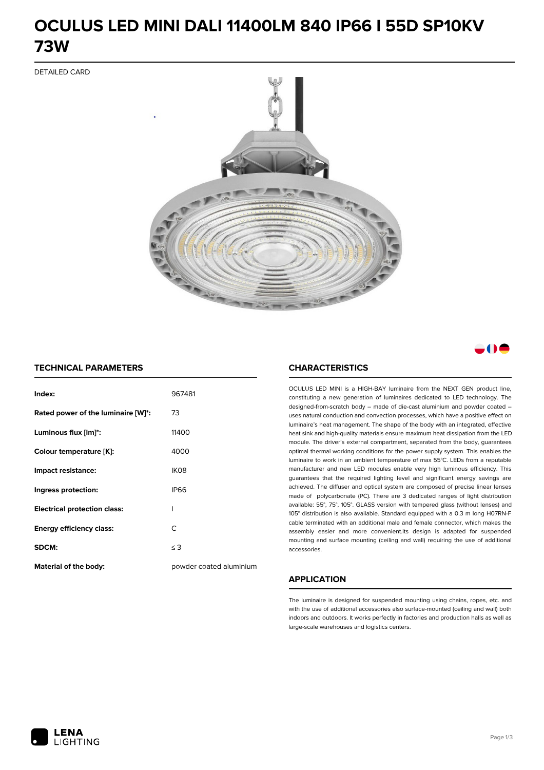# **OCULUS LED MINI DALI 11400LM 840 IP66 I 55D SP10KV 73W**

DETAILED CARD



# a M

### **TECHNICAL PARAMETERS**

| Index:                              | 967481                  |
|-------------------------------------|-------------------------|
| Rated power of the luminaire [W]*:  | 73                      |
| Luminous flux [lm]*:                | 11400                   |
| Colour temperature [K]:             | 4000                    |
| Impact resistance:                  | IK <sub>08</sub>        |
| Ingress protection:                 | <b>IP66</b>             |
| <b>Electrical protection class:</b> | ı                       |
| <b>Energy efficiency class:</b>     | C                       |
| SDCM:                               | $\leq$ 3                |
| <b>Material of the body:</b>        | powder coated aluminium |

### **CHARACTERISTICS**

OCULUS LED MINI is a HIGH-BAY luminaire from the NEXT GEN product line, constituting a new generation of luminaires dedicated to LED technology. The designed-from-scratch body – made of die-cast aluminium and powder coated – uses natural conduction and convection processes, which have a positive effect on luminaire's heat management. The shape of the body with an integrated, effective heat sink and high-quality materials ensure maximum heat dissipation from the LED module. The driver's external compartment, separated from the body, guarantees optimal thermal working conditions for the power supply system. This enables the luminaire to work in an ambient temperature of max 55°C. LEDs from a reputable manufacturer and new LED modules enable very high luminous efficiency. This guarantees that the required lighting level and significant energy savings are achieved. The diffuser and optical system are composed of precise linear lenses made of polycarbonate (PC). There are 3 dedicated ranges of light distribution available: 55°, 75°, 105°. GLASS version with tempered glass (without lenses) and 105° distribution is also available. Standard equipped with a 0.3 m long H07RN-F cable terminated with an additional male and female connector, which makes the assembly easier and more convenient.Its design is adapted for suspended mounting and surface mounting (ceiling and wall) requiring the use of additional accessories.

## **APPLICATION**

The luminaire is designed for suspended mounting using chains, ropes, etc. and with the use of additional accessories also surface-mounted (ceiling and wall) both indoors and outdoors. It works perfectly in factories and production halls as well as large-scale warehouses and logistics centers.

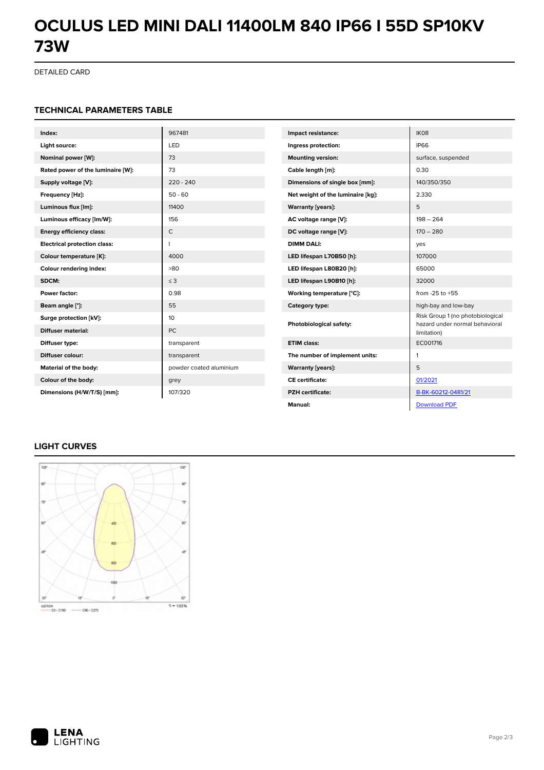# **OCULUS LED MINI DALI 11400LM 840 IP66 I 55D SP10KV 73W**

DETAILED CARD

#### **TECHNICAL PARAMETERS TABLE**

| Index:                              | 967481                  | Impact resistance:                | IK08                                                               |
|-------------------------------------|-------------------------|-----------------------------------|--------------------------------------------------------------------|
| Light source:                       | LED                     | Ingress protection:               | <b>IP66</b>                                                        |
| Nominal power [W]:                  | 73                      | <b>Mounting version:</b>          | surface, suspended                                                 |
| Rated power of the luminaire [W]:   | 73                      | Cable length [m]:                 | 0.30                                                               |
| Supply voltage [V]:                 | $220 - 240$             | Dimensions of single box [mm]:    | 140/350/350                                                        |
| Frequency [Hz]:                     | $50 - 60$               | Net weight of the luminaire [kg]: | 2.330                                                              |
| Luminous flux [lm]:                 | 11400                   | <b>Warranty [years]:</b>          | 5                                                                  |
| Luminous efficacy [lm/W]:           | 156                     | AC voltage range [V]:             | $198 - 264$                                                        |
| <b>Energy efficiency class:</b>     | $\mathsf{C}$            | DC voltage range [V]:             | $170 - 280$                                                        |
| <b>Electrical protection class:</b> | п                       | <b>DIMM DALI:</b>                 | yes                                                                |
| Colour temperature [K]:             | 4000                    | LED lifespan L70B50 [h]:          | 107000                                                             |
| Colour rendering index:             | >80                     | LED lifespan L80B20 [h]:          | 65000                                                              |
| SDCM:                               | $\leq$ 3                | LED lifespan L90B10 [h]:          | 32000                                                              |
| Power factor:                       | 0.98                    | Working temperature [°C]:         | from $-25$ to $+55$                                                |
| Beam angle [°]:                     | 55                      | Category type:                    | high-bay and low-bay                                               |
| Surge protection [kV]:              | 10                      | Photobiological safety:           | Risk Group 1 (no photobiological<br>hazard under normal behavioral |
| <b>Diffuser material:</b>           | <b>PC</b>               |                                   | limitation)                                                        |
| Diffuser type:                      | transparent             | <b>ETIM class:</b>                | EC001716                                                           |
| Diffuser colour:                    | transparent             | The number of implement units:    | $\mathbf{1}$                                                       |
| Material of the body:               | powder coated aluminium | <b>Warranty [years]:</b>          | 5                                                                  |
| Colour of the body:                 | grey                    | <b>CE</b> certificate:            | 01/2021                                                            |
| Dimensions (H/W/T/S) [mm]:          | 107/320                 | <b>PZH</b> certificate:           | B-BK-60212-0481/21                                                 |
|                                     |                         | Manual:                           | <b>Download PDF</b>                                                |

# **LIGHT CURVES**